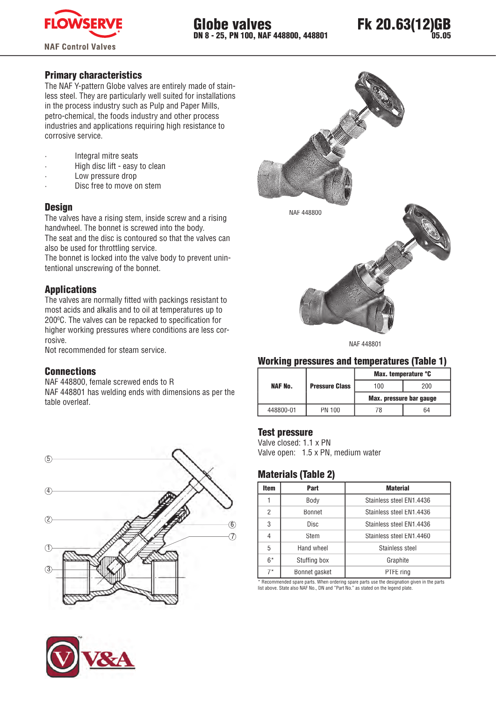



### Primary characteristics

The NAF Y-pattern Globe valves are entirely made of stainless steel. They are particularly well suited for installations in the process industry such as Pulp and Paper Mills, petro-chemical, the foods industry and other process industries and applications requiring high resistance to corrosive service.

Integral mitre seats

- High disc lift easy to clean
- Low pressure drop
- Disc free to move on stem

#### **Design**

The valves have a rising stem, inside screw and a rising handwheel. The bonnet is screwed into the body.

The seat and the disc is contoured so that the valves can also be used for throttling service.

The bonnet is locked into the valve body to prevent unintentional unscrewing of the bonnet.

### Applications

The valves are normally fitted with packings resistant to most acids and alkalis and to oil at temperatures up to 200°C. The valves can be repacked to specification for higher working pressures where conditions are less corrosive.

Not recommended for steam service.

#### **Connections**

NAF 448800, female screwed ends to R NAF 448801 has welding ends with dimensions as per the table overleaf.







NAF 448801

## Working pressures and temperatures (Table 1)

|           |                       | Max. temperature °C     |     |  |  |
|-----------|-----------------------|-------------------------|-----|--|--|
| NAF No.   | <b>Pressure Class</b> | 100                     | 200 |  |  |
|           |                       | Max. pressure bar gauge |     |  |  |
| 448800-01 | PN 100                | 78                      | 64  |  |  |

#### Test pressure

Valve closed: 1.1 x PN Valve open: 1.5 x PN, medium water

## Materials (Table 2)

| <b>Item</b> | Part          | <b>Material</b>          |  |  |  |  |
|-------------|---------------|--------------------------|--|--|--|--|
|             | Body          | Stainless steel EN1.4436 |  |  |  |  |
| 2           | Bonnet        | Stainless steel EN1.4436 |  |  |  |  |
| 3           | <b>Disc</b>   | Stainless steel EN1.4436 |  |  |  |  |
| 4           | Stem          | Stainless steel EN1.4460 |  |  |  |  |
| 5           | Hand wheel    | Stainless steel          |  |  |  |  |
| $6*$        | Stuffing box  | Graphite                 |  |  |  |  |
| $7*$        | Bonnet gasket | PTFE ring                |  |  |  |  |
|             |               |                          |  |  |  |  |

\* Recommended spare parts. When ordering spare parts use the designation given in the parts list above. State also NAF No., DN and "Part No." as stated on the legend plate.